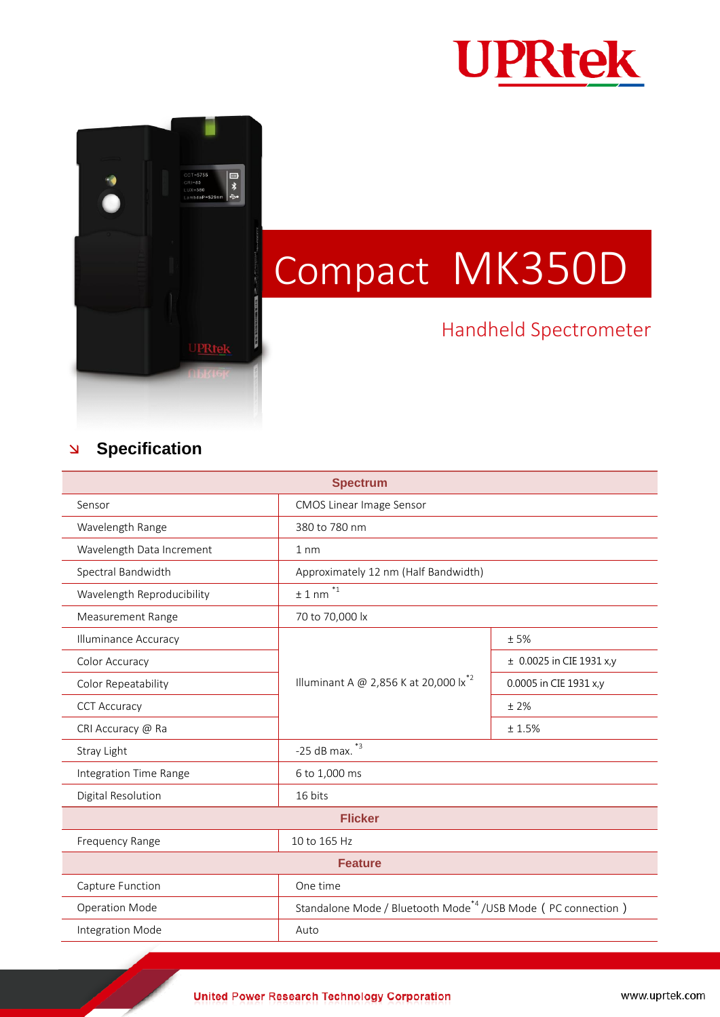



## Compact MK350D

## Handheld Spectrometer

## **Specification**

| <b>Spectrum</b>             |                                                                           |                              |
|-----------------------------|---------------------------------------------------------------------------|------------------------------|
| Sensor                      | <b>CMOS Linear Image Sensor</b>                                           |                              |
| Wavelength Range            | 380 to 780 nm                                                             |                              |
| Wavelength Data Increment   | $1 \text{ nm}$                                                            |                              |
| Spectral Bandwidth          | Approximately 12 nm (Half Bandwidth)                                      |                              |
| Wavelength Reproducibility  | $*_{1}$<br>±1 nm                                                          |                              |
| <b>Measurement Range</b>    | 70 to 70,000 lx                                                           |                              |
| <b>Illuminance Accuracy</b> | Illuminant A @ 2,856 K at 20,000 $1x^{*2}$                                | ±5%                          |
| Color Accuracy              |                                                                           | $\pm$ 0.0025 in CIE 1931 x,y |
| Color Repeatability         |                                                                           | 0.0005 in CIE 1931 x,y       |
| <b>CCT Accuracy</b>         |                                                                           | ±2%                          |
| CRI Accuracy @ Ra           |                                                                           | ±1.5%                        |
| Stray Light                 | $*3$<br>$-25$ dB max.                                                     |                              |
| Integration Time Range      | 6 to 1,000 ms                                                             |                              |
| Digital Resolution          | 16 bits                                                                   |                              |
| <b>Flicker</b>              |                                                                           |                              |
| Frequency Range             | 10 to 165 Hz                                                              |                              |
| <b>Feature</b>              |                                                                           |                              |
| Capture Function            | One time                                                                  |                              |
| <b>Operation Mode</b>       | Standalone Mode / Bluetooth Mode <sup>*4</sup> / USB Mode (PC connection) |                              |
| Integration Mode            | Auto                                                                      |                              |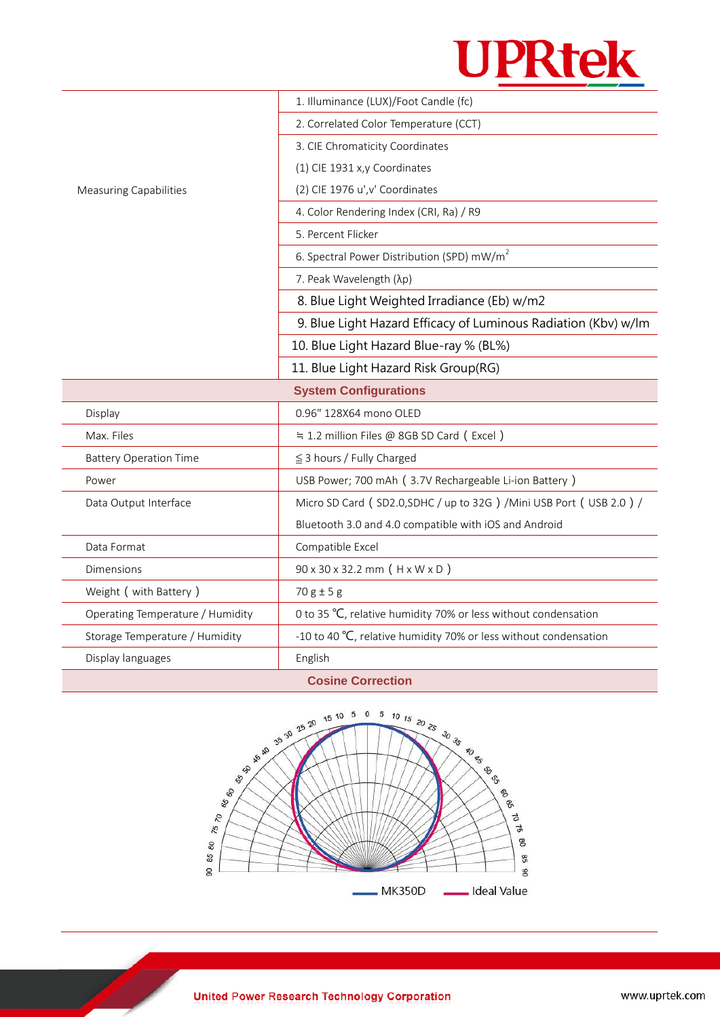

|                                  | 1. Illuminance (LUX)/Foot Candle (fc)                               |  |
|----------------------------------|---------------------------------------------------------------------|--|
|                                  | 2. Correlated Color Temperature (CCT)                               |  |
|                                  | 3. CIE Chromaticity Coordinates                                     |  |
|                                  | (1) CIE 1931 x,y Coordinates                                        |  |
| <b>Measuring Capabilities</b>    | (2) CIE 1976 u', v' Coordinates                                     |  |
|                                  | 4. Color Rendering Index (CRI, Ra) / R9                             |  |
|                                  | 5. Percent Flicker                                                  |  |
|                                  | 6. Spectral Power Distribution (SPD) mW/m <sup>2</sup>              |  |
|                                  | 7. Peak Wavelength (λp)                                             |  |
|                                  | 8. Blue Light Weighted Irradiance (Eb) w/m2                         |  |
|                                  | 9. Blue Light Hazard Efficacy of Luminous Radiation (Kbv) w/lm      |  |
|                                  | 10. Blue Light Hazard Blue-ray % (BL%)                              |  |
|                                  | 11. Blue Light Hazard Risk Group(RG)                                |  |
| <b>System Configurations</b>     |                                                                     |  |
| Display                          | 0.96" 128X64 mono OLED                                              |  |
| Max. Files                       | ≒ 1.2 million Files @ 8GB SD Card (Excel)                           |  |
| <b>Battery Operation Time</b>    | $\leq$ 3 hours / Fully Charged                                      |  |
| Power                            | USB Power; 700 mAh (3.7V Rechargeable Li-ion Battery)               |  |
| Data Output Interface            | Micro SD Card (SD2.0, SDHC / up to 32G) / Mini USB Port (USB 2.0) / |  |
|                                  | Bluetooth 3.0 and 4.0 compatible with iOS and Android               |  |
| Data Format                      | Compatible Excel                                                    |  |
| Dimensions                       | 90 x 30 x 32.2 mm (H x W x D)                                       |  |
| Weight ( with Battery )          | $70 g \pm 5 g$                                                      |  |
| Operating Temperature / Humidity | 0 to 35 °C, relative humidity 70% or less without condensation      |  |
| Storage Temperature / Humidity   | -10 to 40 °C, relative humidity 70% or less without condensation    |  |
| Display languages                | English                                                             |  |
| <b>Cosine Correction</b>         |                                                                     |  |